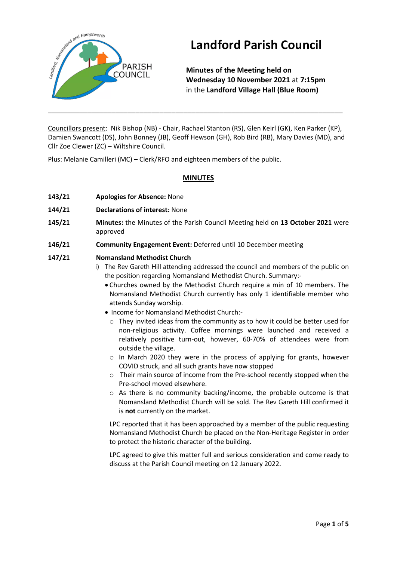

# **Landford Parish Council**

**Minutes of the Meeting held on Wednesday 10 November 2021** at **7:15pm** in the **Landford Village Hall (Blue Room)**

Councillors present: Nik Bishop (NB) - Chair, Rachael Stanton (RS), Glen Keirl (GK), Ken Parker (KP), Damien Swancott (DS), John Bonney (JB), Geoff Hewson (GH), Rob Bird (RB), Mary Davies (MD), and Cllr Zoe Clewer (ZC) – Wiltshire Council.

\_\_\_\_\_\_\_\_\_\_\_\_\_\_\_\_\_\_\_\_\_\_\_\_\_\_\_\_\_\_\_\_\_\_\_\_\_\_\_\_\_\_\_\_\_\_\_\_\_\_\_\_\_\_\_\_\_\_\_\_\_\_\_\_\_\_\_\_\_\_\_\_\_\_

Plus: Melanie Camilleri (MC) – Clerk/RFO and eighteen members of the public.

# **MINUTES**

- **143/21 Apologies for Absence:** None
- **144/21 Declarations of interest:** None
- **145/21 Minutes:** the Minutes of the Parish Council Meeting held on **13 October 2021** were approved
- **146/21 Community Engagement Event:** Deferred until 10 December meeting

# **147/21 Nomansland Methodist Church**

- i) The Rev Gareth Hill attending addressed the council and members of the public on the position regarding Nomansland Methodist Church. Summary:-
	- Churches owned by the Methodist Church require a min of 10 members. The Nomansland Methodist Church currently has only 1 identifiable member who attends Sunday worship.
	- Income for Nomansland Methodist Church:-
		- $\circ$  They invited ideas from the community as to how it could be better used for non-religious activity. Coffee mornings were launched and received a relatively positive turn-out, however, 60-70% of attendees were from outside the village.
		- $\circ$  In March 2020 they were in the process of applying for grants, however COVID struck, and all such grants have now stopped
		- o Their main source of income from the Pre-school recently stopped when the Pre-school moved elsewhere.
		- o As there is no community backing/income, the probable outcome is that Nomansland Methodist Church will be sold. The Rev Gareth Hill confirmed it is **not** currently on the market.

LPC reported that it has been approached by a member of the public requesting Nomansland Methodist Church be placed on the Non-Heritage Register in order to protect the historic character of the building.

LPC agreed to give this matter full and serious consideration and come ready to discuss at the Parish Council meeting on 12 January 2022.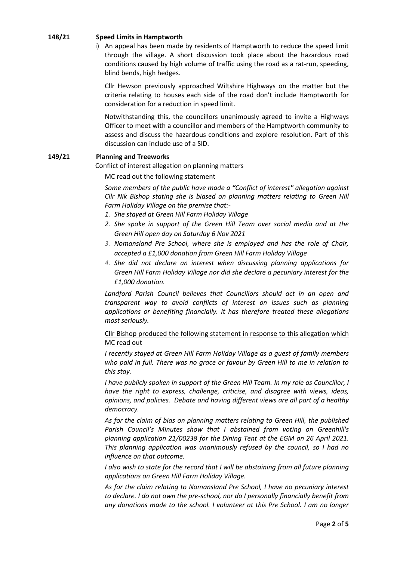#### **148/21 Speed Limits in Hamptworth**

i) An appeal has been made by residents of Hamptworth to reduce the speed limit through the village. A short discussion took place about the hazardous road conditions caused by high volume of traffic using the road as a rat-run, speeding, blind bends, high hedges.

Cllr Hewson previously approached Wiltshire Highways on the matter but the criteria relating to houses each side of the road don't include Hamptworth for consideration for a reduction in speed limit.

Notwithstanding this, the councillors unanimously agreed to invite a Highways Officer to meet with a councillor and members of the Hamptworth community to assess and discuss the hazardous conditions and explore resolution. Part of this discussion can include use of a SID.

#### **149/21 Planning and Treeworks**

Conflict of interest allegation on planning matters

#### MC read out the following statement

*Some members of the public have made a "Conflict of interest" allegation against Cllr Nik Bishop stating she is biased on planning matters relating to Green Hill Farm Holiday Village on the premise that:-*

- *1. She stayed at Green Hill Farm Holiday Village*
- *2. She spoke in support of the Green Hill Team over social media and at the Green Hill open day on Saturday 6 Nov 2021*
- *3. Nomansland Pre School, where she is employed and has the role of Chair, accepted a £1,000 donation from Green Hill Farm Holiday Village*
- *4. She did not declare an interest when discussing planning applications for Green Hill Farm Holiday Village nor did she declare a pecuniary interest for the £1,000 donation.*

*Landford Parish Council believes that Councillors should act in an open and transparent way to avoid conflicts of interest on issues such as planning applications or benefiting financially. It has therefore treated these allegations most seriously.* 

Cllr Bishop produced the following statement in response to this allegation which MC read out

*I recently stayed at Green Hill Farm Holiday Village as a guest of family members who paid in full. There was no grace or favour by Green Hill to me in relation to this stay.*

*I have publicly spoken in support of the Green Hill Team. In my role as Councillor, I have the right to express, challenge, criticise, and disagree with views, ideas, opinions, and policies. Debate and having different views are all part of a healthy democracy.*

*As for the claim of bias on planning matters relating to Green Hill, the published Parish Council's Minutes show that I abstained from voting on Greenhill's planning application 21/00238 for the Dining Tent at the EGM on 26 April 2021. This planning application was unanimously refused by the council, so I had no influence on that outcome.*

*I also wish to state for the record that I will be abstaining from all future planning applications on Green Hill Farm Holiday Village.* 

*As for the claim relating to Nomansland Pre School, I have no pecuniary interest to declare. I do not own the pre-school, nor do I personally financially benefit from any donations made to the school. I volunteer at this Pre School. I am no longer*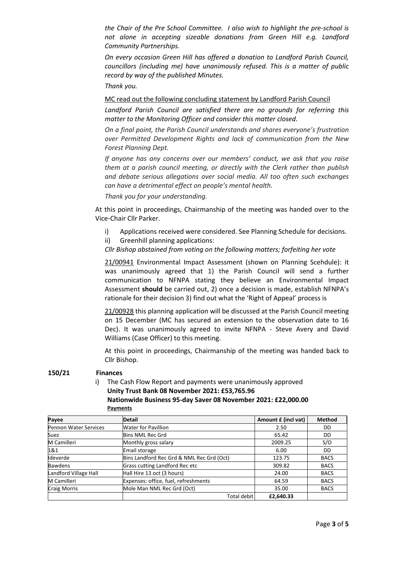*the Chair of the Pre School Committee. I also wish to highlight the pre-school is not alone in accepting sizeable donations from Green Hill e.g. Landford Community Partnerships.* 

*On every occasion Green Hill has offered a donation to Landford Parish Council, councillors (including me) have unanimously refused. This is a matter of public record by way of the published Minutes.*

*Thank you.*

#### MC read out the following concluding statement by Landford Parish Council

*Landford Parish Council are satisfied there are no grounds for referring this matter to the Monitoring Officer and consider this matter closed.*

*On a final point, the Parish Council understands and shares everyone's frustration over Permitted Development Rights and lack of communication from the New Forest Planning Dept.* 

*If anyone has any concerns over our members' conduct, we ask that you raise them at a parish council meeting, or directly with the Clerk rather than publish and debate serious allegations over social media. All too often such exchanges can have a detrimental effect on people's mental health.* 

*Thank you for your understanding.* 

At this point in proceedings, Chairmanship of the meeting was handed over to the Vice-Chair Cllr Parker.

- i) Applications received were considered. See Planning Schedule for decisions.
- ii) Greenhill planning applications:

*Cllr Bishop abstained from voting on the following matters; forfeiting her vote*

21/00941 Environmental Impact Assessment (shown on Planning Scehdule): it was unanimously agreed that 1) the Parish Council will send a further communication to NFNPA stating they believe an Environmental Impact Assessment **should** be carried out, 2) once a decision is made, establish NFNPA's rationale for their decision 3) find out what the 'Right of Appeal' process is

21/00928 this planning application will be discussed at the Parish Council meeting on 15 December (MC has secured an extension to the observation date to 16 Dec). It was unanimously agreed to invite NFNPA - Steve Avery and David Williams (Case Officer) to this meeting.

At this point in proceedings, Chairmanship of the meeting was handed back to Cllr Bishop.

#### **150/21 Finances**

i) The Cash Flow Report and payments were unanimously approved **Unity Trust Bank 08 November 2021: £53,765.96 Nationwide Business 95-day Saver 08 November 2021: £22,000.00 Payments**

| Payee                        | <b>Detail</b>                             | Amount £ (incl vat) | <b>Method</b> |
|------------------------------|-------------------------------------------|---------------------|---------------|
| <b>Pennon Water Services</b> | <b>Water for Pavillion</b>                | 2.50                | DD            |
| Suez                         | <b>Bins NML Rec Grd</b>                   | 65.42               | DD            |
| M Camilleri                  | Monthly gross salary                      | 2009.25             | S/O           |
| 1&1                          | Email storage                             | 6.00                | DD            |
| Ideverde                     | Bins Landford Rec Grd & NML Rec Grd (Oct) | 123.75              | <b>BACS</b>   |
| <b>Bawdens</b>               | Grass cutting Landford Rec etc            | 309.82              | <b>BACS</b>   |
| Landford Village Hall        | Hall Hire 13 oct (3 hours)                | 24.00               | <b>BACS</b>   |
| M Camilleri                  | Expenses: office, fuel, refreshments      | 64.59               | <b>BACS</b>   |
| <b>Craig Morris</b>          | Mole Man NML Rec Grd (Oct)                | 35.00               | <b>BACS</b>   |
|                              | Total debit                               | £2,640.33           |               |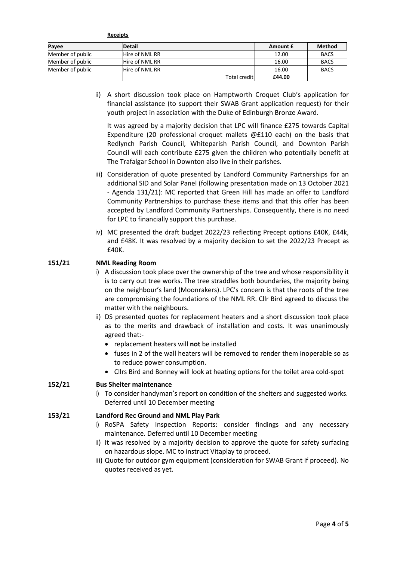**Receipts**

| Payee            | <b>Detail</b>  |              | Amount £ | <b>Method</b> |
|------------------|----------------|--------------|----------|---------------|
| Member of public | Hire of NML RR |              | 12.00    | <b>BACS</b>   |
| Member of public | Hire of NML RR |              | 16.00    | <b>BACS</b>   |
| Member of public | Hire of NML RR |              | 16.00    | <b>BACS</b>   |
|                  |                | Total credit | £44.00   |               |

ii) A short discussion took place on Hamptworth Croquet Club's application for financial assistance (to support their SWAB Grant application request) for their youth project in association with the Duke of Edinburgh Bronze Award.

It was agreed by a majority decision that LPC will finance £275 towards Capital Expenditure (20 professional croquet mallets @£110 each) on the basis that Redlynch Parish Council, Whiteparish Parish Council, and Downton Parish Council will each contribute £275 given the children who potentially benefit at The Trafalgar School in Downton also live in their parishes.

- iii) Consideration of quote presented by Landford Community Partnerships for an additional SID and Solar Panel (following presentation made on 13 October 2021 - Agenda 131/21): MC reported that Green Hill has made an offer to Landford Community Partnerships to purchase these items and that this offer has been accepted by Landford Community Partnerships. Consequently, there is no need for LPC to financially support this purchase.
- iv) MC presented the draft budget 2022/23 reflecting Precept options £40K, £44k, and £48K. It was resolved by a majority decision to set the 2022/23 Precept as £40K.

# **151/21 NML Reading Room**

- i) A discussion took place over the ownership of the tree and whose responsibility it is to carry out tree works. The tree straddles both boundaries, the majority being on the neighbour's land (Moonrakers). LPC's concern is that the roots of the tree are compromising the foundations of the NML RR. Cllr Bird agreed to discuss the matter with the neighbours.
- ii) DS presented quotes for replacement heaters and a short discussion took place as to the merits and drawback of installation and costs. It was unanimously agreed that:-
	- replacement heaters will **not** be installed
	- fuses in 2 of the wall heaters will be removed to render them inoperable so as to reduce power consumption.
	- Cllrs Bird and Bonney will look at heating options for the toilet area cold-spot

#### **152/21 Bus Shelter maintenance**

i) To consider handyman's report on condition of the shelters and suggested works. Deferred until 10 December meeting

#### **153/21 Landford Rec Ground and NML Play Park**

- i) RoSPA Safety Inspection Reports: consider findings and any necessary maintenance. Deferred until 10 December meeting
- ii) It was resolved by a majority decision to approve the quote for safety surfacing on hazardous slope. MC to instruct Vitaplay to proceed.
- iii) Quote for outdoor gym equipment (consideration for SWAB Grant if proceed). No quotes received as yet.